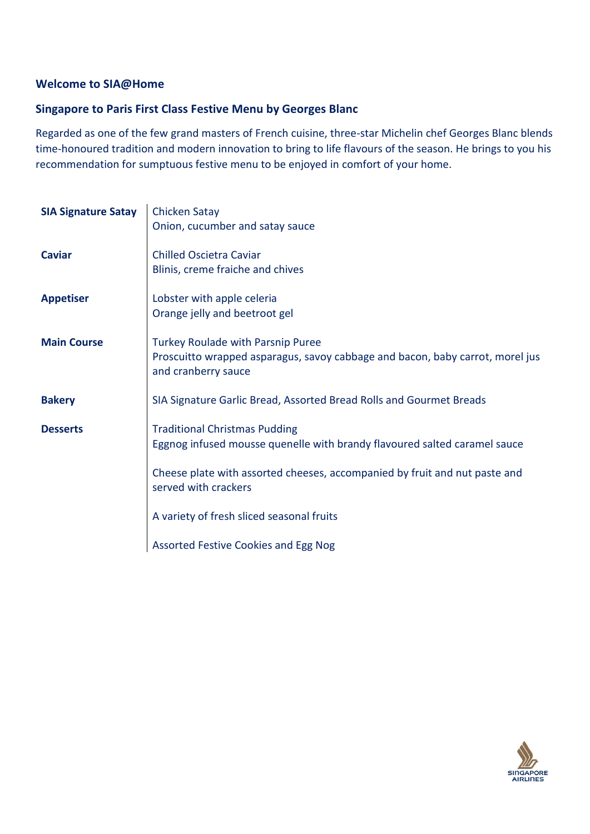### **Welcome to SIA@Home**

# **Singapore to Paris First Class Festive Menu by Georges Blanc**

Regarded as one of the few grand masters of French cuisine, three-star Michelin chef Georges Blanc blends time-honoured tradition and modern innovation to bring to life flavours of the season. He brings to you his recommendation for sumptuous festive menu to be enjoyed in comfort of your home.

| <b>SIA Signature Satay</b> | <b>Chicken Satay</b><br>Onion, cucumber and satay sauce                                                                                   |
|----------------------------|-------------------------------------------------------------------------------------------------------------------------------------------|
| <b>Caviar</b>              | <b>Chilled Oscietra Caviar</b><br>Blinis, creme fraiche and chives                                                                        |
| <b>Appetiser</b>           | Lobster with apple celeria<br>Orange jelly and beetroot gel                                                                               |
| <b>Main Course</b>         | Turkey Roulade with Parsnip Puree<br>Proscuitto wrapped asparagus, savoy cabbage and bacon, baby carrot, morel jus<br>and cranberry sauce |
| <b>Bakery</b>              | SIA Signature Garlic Bread, Assorted Bread Rolls and Gourmet Breads                                                                       |
| <b>Desserts</b>            | <b>Traditional Christmas Pudding</b><br>Eggnog infused mousse quenelle with brandy flavoured salted caramel sauce                         |
|                            | Cheese plate with assorted cheeses, accompanied by fruit and nut paste and<br>served with crackers                                        |
|                            | A variety of fresh sliced seasonal fruits                                                                                                 |
|                            | Assorted Festive Cookies and Egg Nog                                                                                                      |